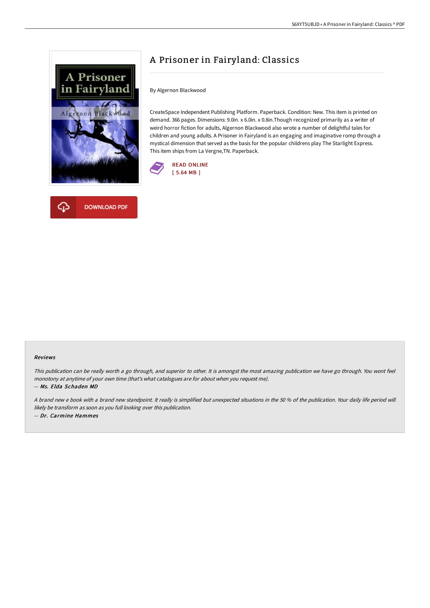



# A Prisoner in Fairyland: Classics

By Algernon Blackwood

CreateSpace Independent Publishing Platform. Paperback. Condition: New. This item is printed on demand. 366 pages. Dimensions: 9.0in. x 6.0in. x 0.8in.Though recognized primarily as a writer of weird horror fiction for adults, Algernon Blackwood also wrote a number of delightful tales for children and young adults. A Prisoner in Fairyland is an engaging and imaginative romp through a mystical dimension that served as the basis for the popular childrens play The Starlight Express. This item ships from La Vergne,TN. Paperback.



#### Reviews

This publication can be really worth <sup>a</sup> go through, and superior to other. It is amongst the most amazing publication we have go through. You wont feel monotony at anytime of your own time (that's what catalogues are for about when you request me). -- Ms. Elda Schaden MD

A brand new <sup>e</sup> book with <sup>a</sup> brand new standpoint. It really is simplified but unexpected situations in the 50 % of the publication. Your daily life period will likely be transform as soon as you full looking over this publication. -- Dr. Carmine Hammes